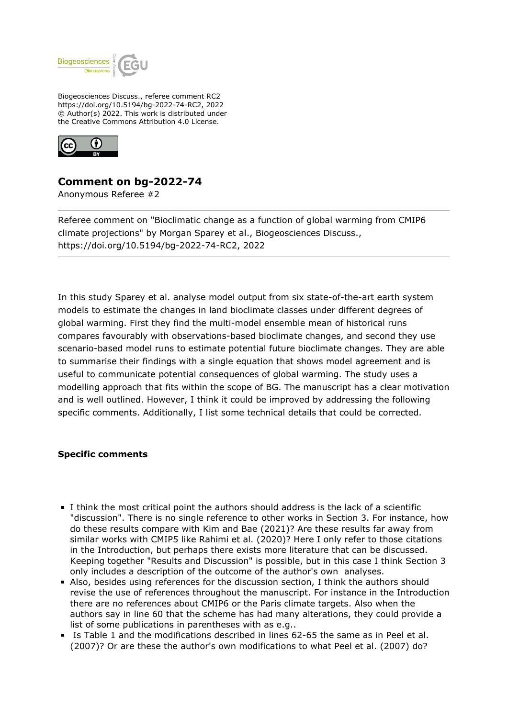

Biogeosciences Discuss., referee comment RC2 https://doi.org/10.5194/bg-2022-74-RC2, 2022 © Author(s) 2022. This work is distributed under the Creative Commons Attribution 4.0 License.



## **Comment on bg-2022-74**

Anonymous Referee #2

Referee comment on "Bioclimatic change as a function of global warming from CMIP6 climate projections" by Morgan Sparey et al., Biogeosciences Discuss., https://doi.org/10.5194/bg-2022-74-RC2, 2022

In this study Sparey et al. analyse model output from six state-of-the-art earth system models to estimate the changes in land bioclimate classes under different degrees of global warming. First they find the multi-model ensemble mean of historical runs compares favourably with observations-based bioclimate changes, and second they use scenario-based model runs to estimate potential future bioclimate changes. They are able to summarise their findings with a single equation that shows model agreement and is useful to communicate potential consequences of global warming. The study uses a modelling approach that fits within the scope of BG. The manuscript has a clear motivation and is well outlined. However, I think it could be improved by addressing the following specific comments. Additionally, I list some technical details that could be corrected.

## **Specific comments**

- I think the most critical point the authors should address is the lack of a scientific "discussion". There is no single reference to other works in Section 3. For instance, how do these results compare with Kim and Bae (2021)? Are these results far away from similar works with CMIP5 like Rahimi et al. (2020)? Here I only refer to those citations in the Introduction, but perhaps there exists more literature that can be discussed. Keeping together "Results and Discussion" is possible, but in this case I think Section 3 only includes a description of the outcome of the author's own analyses.
- Also, besides using references for the discussion section, I think the authors should revise the use of references throughout the manuscript. For instance in the Introduction there are no references about CMIP6 or the Paris climate targets. Also when the authors say in line 60 that the scheme has had many alterations, they could provide a list of some publications in parentheses with as e.g..
- Is Table 1 and the modifications described in lines 62-65 the same as in Peel et al. (2007)? Or are these the author's own modifications to what Peel et al. (2007) do?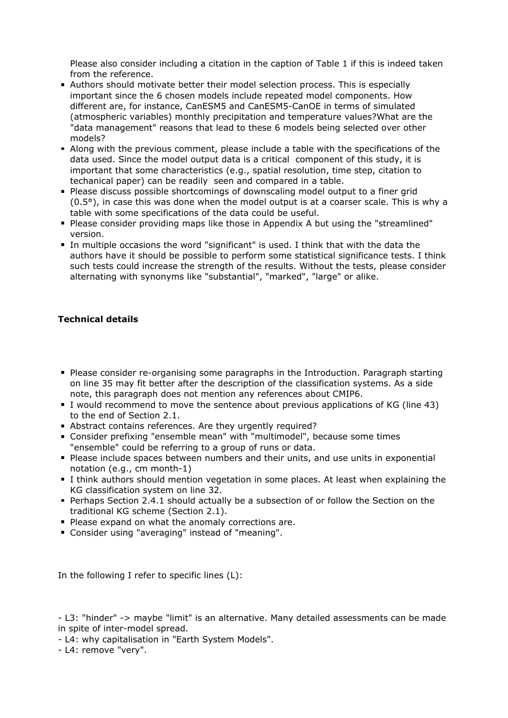Please also consider including a citation in the caption of Table 1 if this is indeed taken from the reference.

- Authors should motivate better their model selection process. This is especially important since the 6 chosen models include repeated model components. How different are, for instance, CanESM5 and CanESM5-CanOE in terms of simulated (atmospheric variables) monthly precipitation and temperature values?What are the "data management" reasons that lead to these 6 models being selected over other models?
- Along with the previous comment, please include a table with the specifications of the data used. Since the model output data is a critical component of this study, it is important that some characteristics (e.g., spatial resolution, time step, citation to techanical paper) can be readily seen and compared in a table.
- **Please discuss possible shortcomings of downscaling model output to a finer grid**  $(0.5<sup>o</sup>)$ , in case this was done when the model output is at a coarser scale. This is why a table with some specifications of the data could be useful.
- Please consider providing maps like those in Appendix A but using the "streamlined" version.
- In multiple occasions the word "significant" is used. I think that with the data the authors have it should be possible to perform some statistical significance tests. I think such tests could increase the strength of the results. Without the tests, please consider alternating with synonyms like "substantial", "marked", "large" or alike.

## **Technical details**

- Please consider re-organising some paragraphs in the Introduction. Paragraph starting on line 35 may fit better after the description of the classification systems. As a side note, this paragraph does not mention any references about CMIP6.
- I would recommend to move the sentence about previous applications of KG (line 43) to the end of Section 2.1.
- Abstract contains references. Are they urgently required?
- Consider prefixing "ensemble mean" with "multimodel", because some times "ensemble" could be referring to a group of runs or data.
- Please include spaces between numbers and their units, and use units in exponential notation (e.g., cm month-1)
- I think authors should mention vegetation in some places. At least when explaining the KG classification system on line 32.
- Perhaps Section 2.4.1 should actually be a subsection of or follow the Section on the traditional KG scheme (Section 2.1).
- Please expand on what the anomaly corrections are.
- Consider using "averaging" instead of "meaning".

In the following I refer to specific lines (L):

- L3: "hinder" -> maybe "limit" is an alternative. Many detailed assessments can be made in spite of inter-model spread.

- L4: why capitalisation in "Earth System Models".

- L4: remove "very".